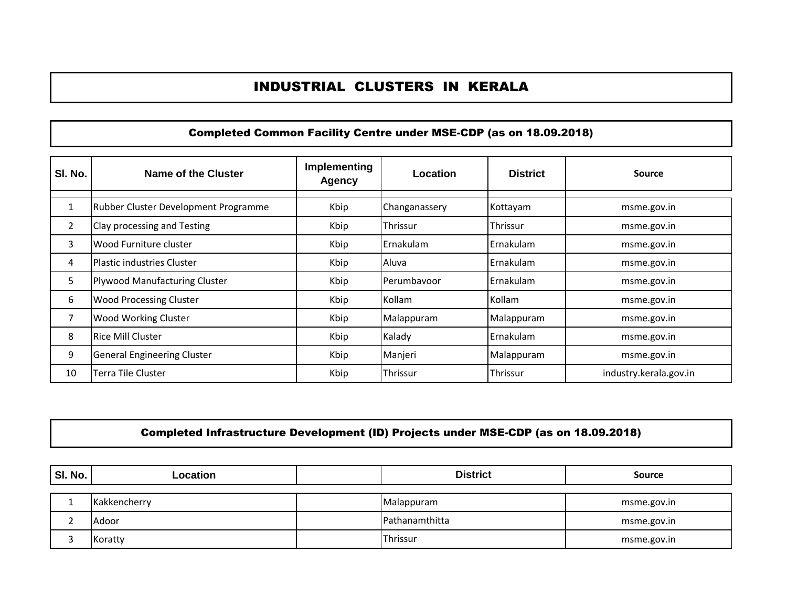# INDUSTRIAL CLUSTERS IN KERALA

#### Completed Common Facility Centre under MSE-CDP (as on 18.09.2018)

| SI. No.        | Name of the Cluster                  | Implementing<br><b>Agency</b> | Location      | <b>District</b> | Source                 |
|----------------|--------------------------------------|-------------------------------|---------------|-----------------|------------------------|
|                | Rubber Cluster Development Programme | Kbip                          | Changanassery | Kottayam        | msme.gov.in            |
| $\overline{2}$ | Clay processing and Testing          | Kbip                          | Thrissur      | Thrissur        | msme.gov.in            |
| 3              | Wood Furniture cluster               | Kbip                          | Ernakulam     | l Ernakulam     | msme.gov.in            |
| 4              | Plastic industries Cluster           | Kbip                          | Aluva         | l Ernakulam     | msme.gov.in            |
| 5              | Plywood Manufacturing Cluster        | Kbip                          | Perumbayoor   | Ernakulam       | msme.gov.in            |
| 6              | <b>Wood Processing Cluster</b>       | Kbip                          | Kollam        | Kollam          | msme.gov.in            |
| 7              | <b>Wood Working Cluster</b>          | Kbip                          | Malappuram    | Malappuram      | msme.gov.in            |
| 8              | <b>Rice Mill Cluster</b>             | Kbip                          | Kalady        | Ernakulam       | msme.gov.in            |
| 9              | <b>General Engineering Cluster</b>   | Kbip                          | Manjeri       | Malappuram      | msme.gov.in            |
| 10             | <b>Terra Tile Cluster</b>            | Kbip                          | Thrissur      | Thrissur        | industry.kerala.gov.in |

## Completed Infrastructure Development (ID) Projects under MSE-CDP (as on 18.09.2018)

| SI. No. | Location     | <b>District</b> | <b>Source</b> |
|---------|--------------|-----------------|---------------|
|         |              |                 |               |
|         | Kakkencherry | Malappuram      | msme.gov.in   |
|         | Adoor        | Pathanamthitta  | msme.gov.in   |
|         | Koratty      | Thrissur        | msme.gov.in   |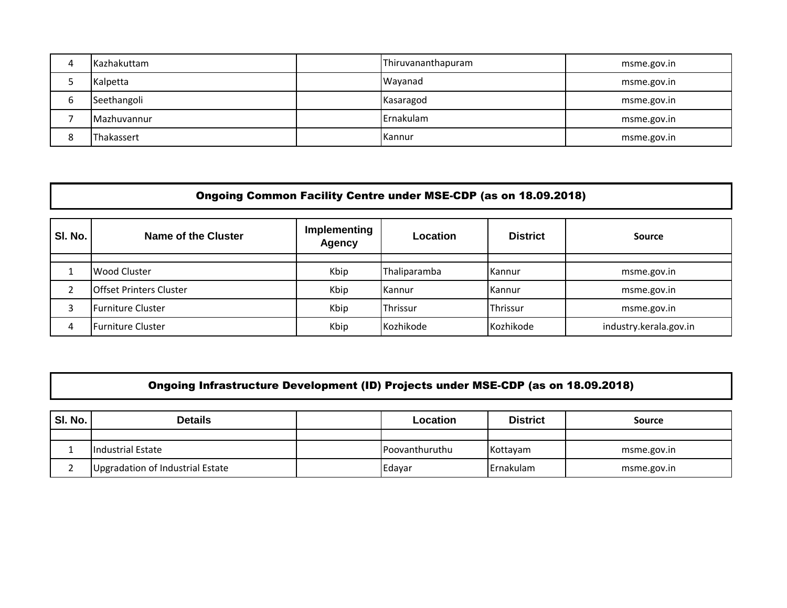| Δ | Kazhakuttam | Thiruvananthapuram | msme.gov.in |
|---|-------------|--------------------|-------------|
|   | Kalpetta    | Wayanad            | msme.gov.in |
| h | Seethangoli | Kasaragod          | msme.gov.in |
|   | Mazhuvannur | Ernakulam          | msme.gov.in |
| 8 | Thakassert  | Kannur             | msme.gov.in |

### Ongoing Common Facility Centre under MSE-CDP (as on 18.09.2018)

| SI. No. | Name of the Cluster            | Implementing<br>Agency | Location     | <b>District</b> | <b>Source</b>          |
|---------|--------------------------------|------------------------|--------------|-----------------|------------------------|
|         |                                |                        |              |                 |                        |
|         | Wood Cluster                   | Kbip                   | Thaliparamba | Kannur          | msme.gov.in            |
|         | <b>Offset Printers Cluster</b> | Kbip                   | Kannur       | Kannur          | msme.gov.in            |
|         | Furniture Cluster              | Kbip                   | Thrissur     | Thrissur        | msme.gov.in            |
|         | Furniture Cluster              | Kbip                   | Kozhikode    | Kozhikode       | industry.kerala.gov.in |

# Ongoing Infrastructure Development (ID) Projects under MSE-CDP (as on 18.09.2018)

| SI. No. | <b>Details</b>                   | Location       | <b>District</b>   | <b>Source</b> |
|---------|----------------------------------|----------------|-------------------|---------------|
|         |                                  |                |                   |               |
|         | <b>Industrial Estate</b>         | Poovanthuruthu | Kottayam          | msme.gov.in   |
|         | Upgradation of Industrial Estate | Edayar         | <b>IErnakulam</b> | msme.gov.in   |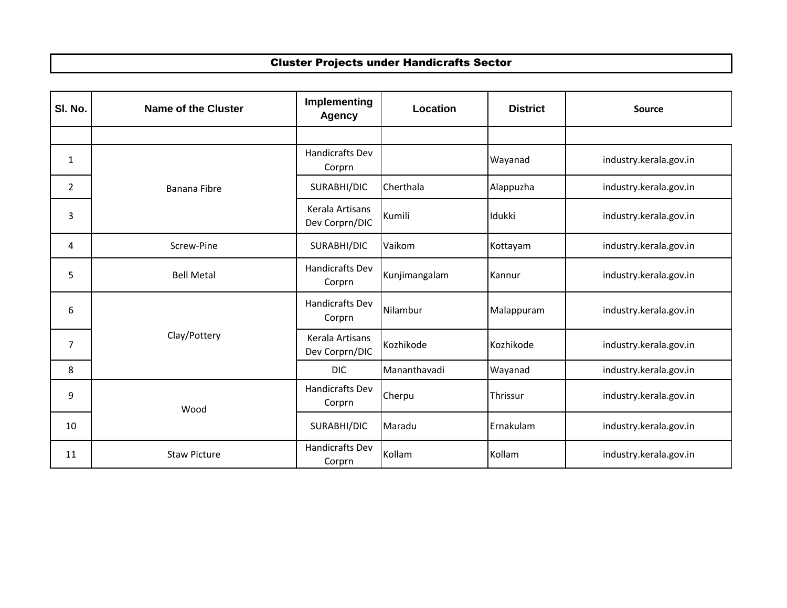### Cluster Projects under Handicrafts Sector

| SI. No.        | <b>Name of the Cluster</b> | Implementing<br><b>Agency</b>     | Location      | <b>District</b> | Source                 |
|----------------|----------------------------|-----------------------------------|---------------|-----------------|------------------------|
|                |                            |                                   |               |                 |                        |
| $\mathbf{1}$   |                            | Handicrafts Dev<br>Corprn         |               | Wayanad         | industry.kerala.gov.in |
| $\overline{2}$ | Banana Fibre               | SURABHI/DIC                       | Cherthala     | Alappuzha       | industry.kerala.gov.in |
| 3              |                            | Kerala Artisans<br>Dev Corprn/DIC | Kumili        | Idukki          | industry.kerala.gov.in |
| 4              | Screw-Pine                 | SURABHI/DIC                       | Vaikom        | Kottayam        | industry.kerala.gov.in |
| 5              | <b>Bell Metal</b>          | <b>Handicrafts Dev</b><br>Corprn  | Kunjimangalam | Kannur          | industry.kerala.gov.in |
| 6              | Clay/Pottery               | <b>Handicrafts Dev</b><br>Corprn  | Nilambur      | Malappuram      | industry.kerala.gov.in |
| $\overline{7}$ |                            | Kerala Artisans<br>Dev Corprn/DIC | Kozhikode     | Kozhikode       | industry.kerala.gov.in |
| 8              |                            | <b>DIC</b>                        | Mananthavadi  | Wayanad         | industry.kerala.gov.in |
| 9              | Wood                       | <b>Handicrafts Dev</b><br>Corprn  | Cherpu        | Thrissur        | industry.kerala.gov.in |
| 10             |                            | SURABHI/DIC                       | Maradu        | Ernakulam       | industry.kerala.gov.in |
| 11             | <b>Staw Picture</b>        | <b>Handicrafts Dev</b><br>Corprn  | Kollam        | Kollam          | industry.kerala.gov.in |